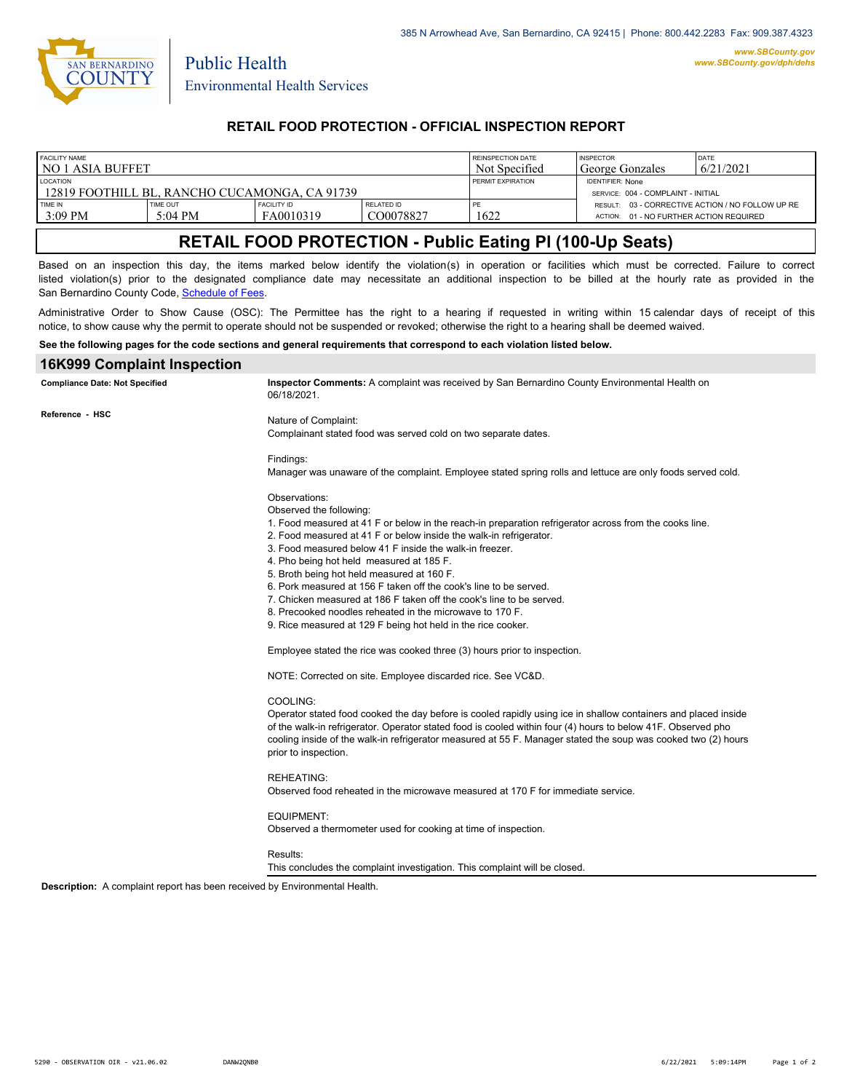

Public Health

# **RETAIL FOOD PROTECTION - OFFICIAL INSPECTION REPORT**

| FACILITY NAME                                                    |                   |                    |                   | REINSPECTION DATE        | <b>INSPECTOR</b>                                              | <b>DATE</b> |
|------------------------------------------------------------------|-------------------|--------------------|-------------------|--------------------------|---------------------------------------------------------------|-------------|
| l no 1 asia buffet                                               |                   |                    |                   | Not Specified            | George Gonzales                                               | 6/21/2021   |
| <b>LOCATION</b><br>12819 FOOTHILL BL. RANCHO CUCAMONGA. CA 91739 |                   |                    |                   | <b>PERMIT EXPIRATION</b> | <b>IDENTIFIER: None</b><br>SERVICE: 004 - COMPLAINT - INITIAL |             |
| TIME IN                                                          | <b>TIME OUT</b>   | <b>FACILITY ID</b> | <b>RELATED ID</b> | 1622                     | RESULT: 03 - CORRECTIVE ACTION / NO FOLLOW UP RE              |             |
| $3:09$ PM                                                        | $5:04 \text{ PM}$ | FA0010319          | CO0078827         |                          | ACTION: 01 - NO FURTHER ACTION REQUIRED                       |             |

# **RETAIL FOOD PROTECTION - Public Eating Pl (100-Up Seats)**

Based on an inspection this day, the items marked below identify the violation(s) in operation or facilities which must be corrected. Failure to correct listed violation(s) prior to the designated compliance date may necessitate an additional inspection to be billed at the hourly rate as provided in the San Bernardino County Code, Sc[hedule of Fees.](http://www.amlegal.com/nxt/gateway.dll/California/sanbernardinocounty_ca/title1governmentandadministration/division6countyfees/chapter2scheduleoffees?f=templates$fn=default.htm$3.0$vid=amlegal:sanbernardinocounty_ca$anc=JD_16.0213B)

Administrative Order to Show Cause (OSC): The Permittee has the right to a hearing if requested in writing within 15 calendar days of receipt of this notice, to show cause why the permit to operate should not be suspended or revoked; otherwise the right to a hearing shall be deemed waived.

#### **See the following pages for the code sections and general requirements that correspond to each violation listed below.**

| <b>16K999 Complaint Inspection</b>    |                                                                                                                                                                                                                                                                                                                                                                                     |  |  |
|---------------------------------------|-------------------------------------------------------------------------------------------------------------------------------------------------------------------------------------------------------------------------------------------------------------------------------------------------------------------------------------------------------------------------------------|--|--|
| <b>Compliance Date: Not Specified</b> | Inspector Comments: A complaint was received by San Bernardino County Environmental Health on<br>06/18/2021.                                                                                                                                                                                                                                                                        |  |  |
| Reference - HSC                       | Nature of Complaint:<br>Complainant stated food was served cold on two separate dates.                                                                                                                                                                                                                                                                                              |  |  |
|                                       | Findings:<br>Manager was unaware of the complaint. Employee stated spring rolls and lettuce are only foods served cold.                                                                                                                                                                                                                                                             |  |  |
|                                       | Observations:<br>Observed the following:<br>1. Food measured at 41 F or below in the reach-in preparation refrigerator across from the cooks line.                                                                                                                                                                                                                                  |  |  |
|                                       | 2. Food measured at 41 F or below inside the walk-in refrigerator.<br>3. Food measured below 41 F inside the walk-in freezer.<br>4. Pho being hot held measured at 185 F.<br>5. Broth being hot held measured at 160 F.                                                                                                                                                             |  |  |
|                                       | 6. Pork measured at 156 F taken off the cook's line to be served.<br>7. Chicken measured at 186 F taken off the cook's line to be served.<br>8. Precooked noodles reheated in the microwave to 170 F.                                                                                                                                                                               |  |  |
|                                       | 9. Rice measured at 129 F being hot held in the rice cooker.<br>Employee stated the rice was cooked three (3) hours prior to inspection.                                                                                                                                                                                                                                            |  |  |
|                                       | NOTE: Corrected on site. Employee discarded rice. See VC&D.                                                                                                                                                                                                                                                                                                                         |  |  |
|                                       | COOLING:<br>Operator stated food cooked the day before is cooled rapidly using ice in shallow containers and placed inside<br>of the walk-in refrigerator. Operator stated food is cooled within four (4) hours to below 41F. Observed pho<br>cooling inside of the walk-in refrigerator measured at 55 F. Manager stated the soup was cooked two (2) hours<br>prior to inspection. |  |  |
|                                       | <b>REHEATING:</b><br>Observed food reheated in the microwave measured at 170 F for immediate service.                                                                                                                                                                                                                                                                               |  |  |
|                                       | <b>EQUIPMENT:</b><br>Observed a thermometer used for cooking at time of inspection.                                                                                                                                                                                                                                                                                                 |  |  |
|                                       | Results:<br>This concludes the complaint investigation. This complaint will be closed.                                                                                                                                                                                                                                                                                              |  |  |